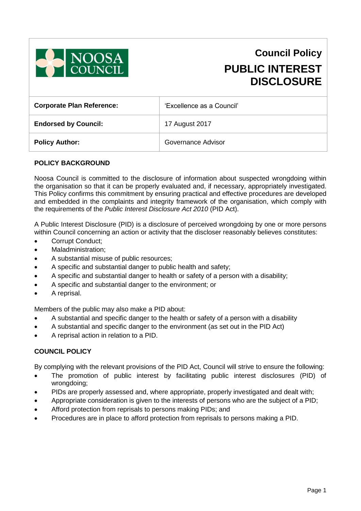

# **Council Policy PUBLIC INTEREST DISCLOSURE**

| <b>Corporate Plan Reference:</b> | 'Excellence as a Council' |  |
|----------------------------------|---------------------------|--|
| <b>Endorsed by Council:</b>      | 17 August 2017            |  |
| <b>Policy Author:</b>            | Governance Advisor        |  |

## **POLICY BACKGROUND**

Noosa Council is committed to the disclosure of information about suspected wrongdoing within the organisation so that it can be properly evaluated and, if necessary, appropriately investigated. This Policy confirms this commitment by ensuring practical and effective procedures are developed and embedded in the complaints and integrity framework of the organisation, which comply with the requirements of the *Public Interest Disclosure Act 2010* (PID Act).

A Public Interest Disclosure (PID) is a disclosure of perceived wrongdoing by one or more persons within Council concerning an action or activity that the discloser reasonably believes constitutes:

- Corrupt Conduct;
- Maladministration;
- A substantial misuse of public resources;
- A specific and substantial danger to public health and safety;
- A specific and substantial danger to health or safety of a person with a disability;
- A specific and substantial danger to the environment; or
- A reprisal.

Members of the public may also make a PID about:

- A substantial and specific danger to the health or safety of a person with a disability
- A substantial and specific danger to the environment (as set out in the PID Act)
- A reprisal action in relation to a PID.

### **COUNCIL POLICY**

By complying with the relevant provisions of the PID Act, Council will strive to ensure the following:

- The promotion of public interest by facilitating public interest disclosures (PID) of wrongdoing;
- PIDs are properly assessed and, where appropriate, properly investigated and dealt with;
- Appropriate consideration is given to the interests of persons who are the subject of a PID;
- Afford protection from reprisals to persons making PIDs; and
- Procedures are in place to afford protection from reprisals to persons making a PID.